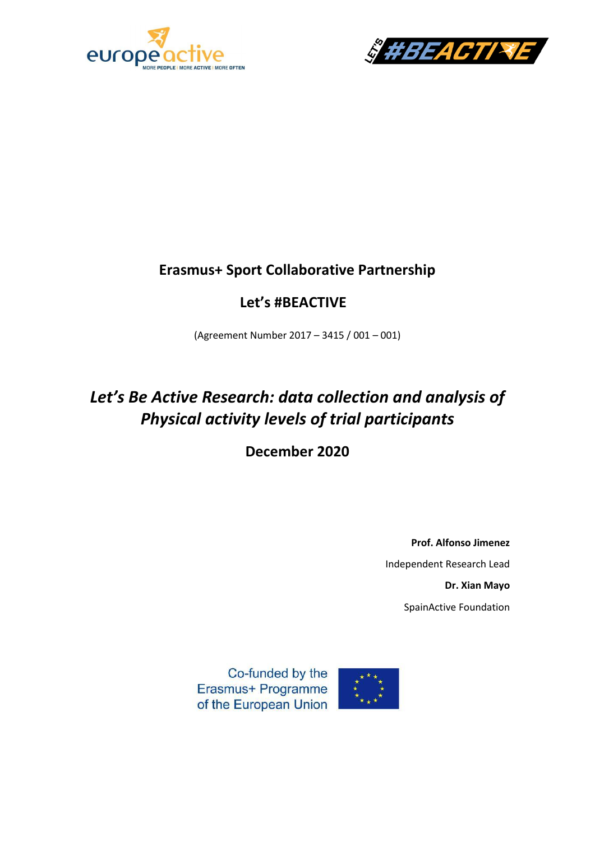



### **Erasmus+ Sport Collaborative Partnership**

## **Let's #BEACTIVE**

(Agreement Number 2017 – 3415 / 001 – 001)

# *Let's Be Active Research: data collection and analysis of Physical activity levels of trial participants*

**December 2020**

**Prof. Alfonso Jimenez** Independent Research Lead **Dr. Xian Mayo** SpainActive Foundation

Co-funded by the Erasmus+ Programme of the European Union

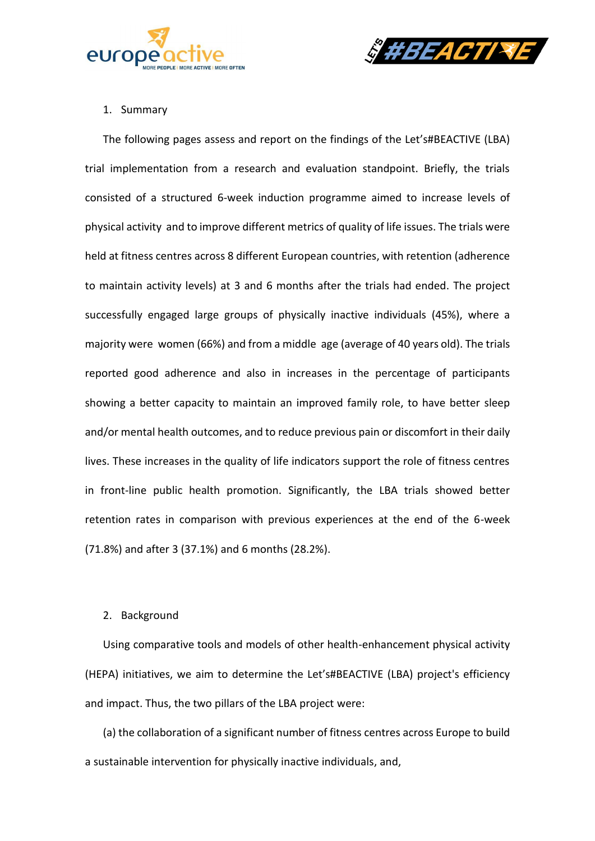



#### 1. Summary

The following pages assess and report on the findings of the Let's#BEACTIVE (LBA) trial implementation from a research and evaluation standpoint. Briefly, the trials consisted of a structured 6-week induction programme aimed to increase levels of physical activity and to improve different metrics of quality of life issues. The trials were held at fitness centres across 8 different European countries, with retention (adherence to maintain activity levels) at 3 and 6 months after the trials had ended. The project successfully engaged large groups of physically inactive individuals (45%), where a majority were women (66%) and from a middle age (average of 40 years old). The trials reported good adherence and also in increases in the percentage of participants showing a better capacity to maintain an improved family role, to have better sleep and/or mental health outcomes, and to reduce previous pain or discomfort in their daily lives. These increases in the quality of life indicators support the role of fitness centres in front-line public health promotion. Significantly, the LBA trials showed better retention rates in comparison with previous experiences at the end of the 6-week (71.8%) and after 3 (37.1%) and 6 months (28.2%).

#### 2. Background

Using comparative tools and models of other health-enhancement physical activity (HEPA) initiatives, we aim to determine the Let's#BEACTIVE (LBA) project's efficiency and impact. Thus, the two pillars of the LBA project were:

(a) the collaboration of a significant number of fitness centres across Europe to build a sustainable intervention for physically inactive individuals, and,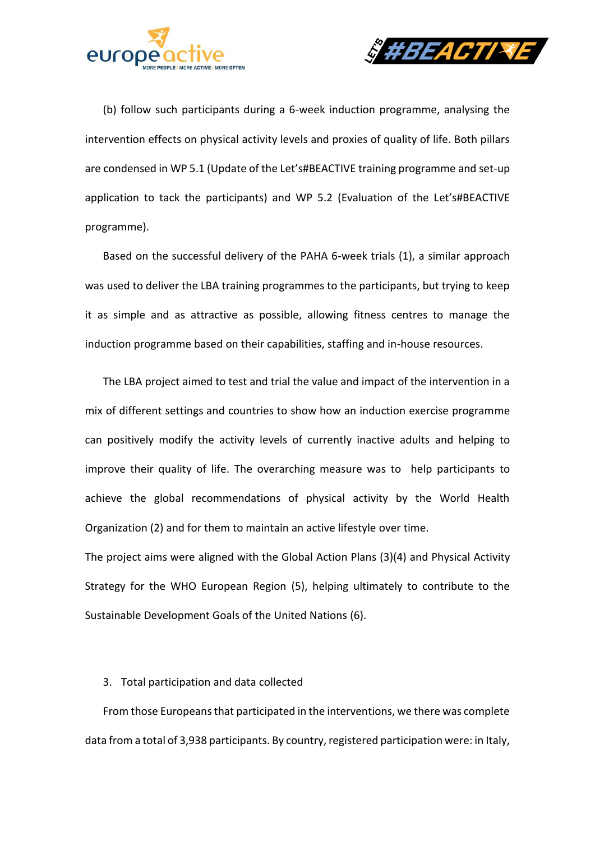



(b) follow such participants during a 6-week induction programme, analysing the intervention effects on physical activity levels and proxies of quality of life. Both pillars are condensed in WP 5.1 (Update of the Let's#BEACTIVE training programme and set-up application to tack the participants) and WP 5.2 (Evaluation of the Let's#BEACTIVE programme).

Based on the successful delivery of the PAHA 6-week trials (1), a similar approach was used to deliver the LBA training programmes to the participants, but trying to keep it as simple and as attractive as possible, allowing fitness centres to manage the induction programme based on their capabilities, staffing and in-house resources.

The LBA project aimed to test and trial the value and impact of the intervention in a mix of different settings and countries to show how an induction exercise programme can positively modify the activity levels of currently inactive adults and helping to improve their quality of life. The overarching measure was to help participants to achieve the global recommendations of physical activity by the World Health Organization (2) and for them to maintain an active lifestyle over time.

The project aims were aligned with the Global Action Plans (3)(4) and Physical Activity Strategy for the WHO European Region (5), helping ultimately to contribute to the Sustainable Development Goals of the United Nations (6).

#### 3. Total participation and data collected

From those Europeans that participated in the interventions, we there was complete data from a total of 3,938 participants. By country, registered participation were: in Italy,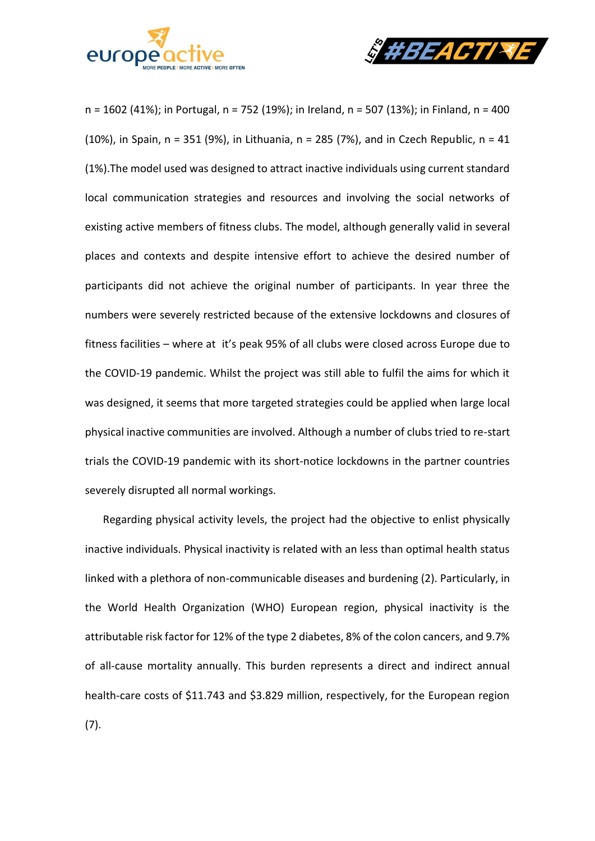



n = 1602 (41%); in Portugal, n = 752 (19%); in Ireland, n = 507 (13%); in Finland, n = 400 (10%), in Spain,  $n = 351$  (9%), in Lithuania,  $n = 285$  (7%), and in Czech Republic,  $n = 41$ (1%).The model used was designed to attract inactive individuals using current standard local communication strategies and resources and involving the social networks of existing active members of fitness clubs. The model, although generally valid in several places and contexts and despite intensive effort to achieve the desired number of participants did not achieve the original number of participants. In year three the numbers were severely restricted because of the extensive lockdowns and closures of fitness facilities – where at it's peak 95% of all clubs were closed across Europe due to the COVID-19 pandemic. Whilst the project was still able to fulfil the aims for which it was designed, it seems that more targeted strategies could be applied when large local physical inactive communities are involved. Although a number of clubs tried to re-start trials the COVID-19 pandemic with its short-notice lockdowns in the partner countries severely disrupted all normal workings.

Regarding physical activity levels, the project had the objective to enlist physically inactive individuals. Physical inactivity is related with an less than optimal health status linked with a plethora of non-communicable diseases and burdening (2). Particularly, in the World Health Organization (WHO) European region, physical inactivity is the attributable risk factor for 12% of the type 2 diabetes, 8% of the colon cancers, and 9.7% of all-cause mortality annually. This burden represents a direct and indirect annual health-care costs of \$11.743 and \$3.829 million, respectively, for the European region (7).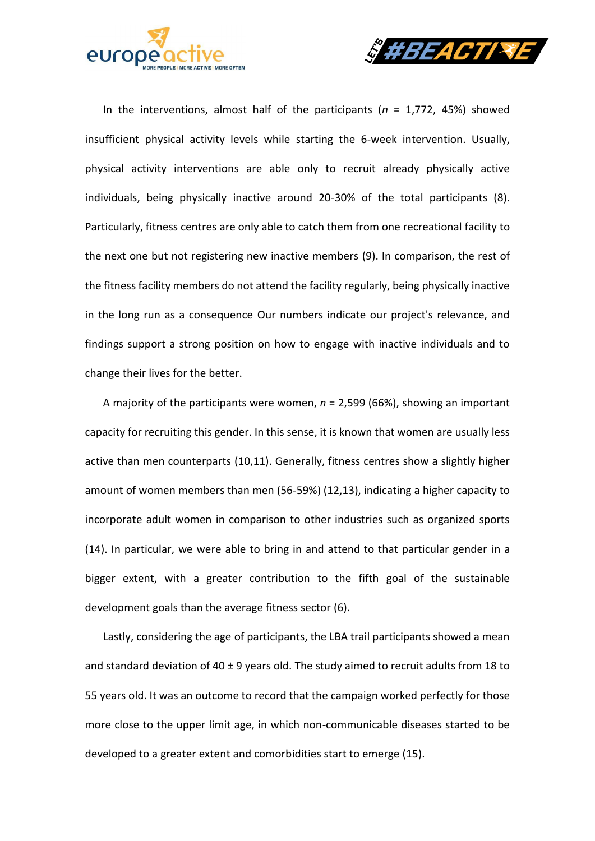



In the interventions, almost half of the participants (*n* = 1,772, 45%) showed insufficient physical activity levels while starting the 6-week intervention. Usually, physical activity interventions are able only to recruit already physically active individuals, being physically inactive around 20-30% of the total participants (8). Particularly, fitness centres are only able to catch them from one recreational facility to the next one but not registering new inactive members (9). In comparison, the rest of the fitness facility members do not attend the facility regularly, being physically inactive in the long run as a consequence Our numbers indicate our project's relevance, and findings support a strong position on how to engage with inactive individuals and to change their lives for the better.

A majority of the participants were women, *n* = 2,599 (66%), showing an important capacity for recruiting this gender. In this sense, it is known that women are usually less active than men counterparts (10,11). Generally, fitness centres show a slightly higher amount of women members than men (56-59%) (12,13), indicating a higher capacity to incorporate adult women in comparison to other industries such as organized sports (14). In particular, we were able to bring in and attend to that particular gender in a bigger extent, with a greater contribution to the fifth goal of the sustainable development goals than the average fitness sector (6).

Lastly, considering the age of participants, the LBA trail participants showed a mean and standard deviation of  $40 \pm 9$  years old. The study aimed to recruit adults from 18 to 55 years old. It was an outcome to record that the campaign worked perfectly for those more close to the upper limit age, in which non-communicable diseases started to be developed to a greater extent and comorbidities start to emerge (15).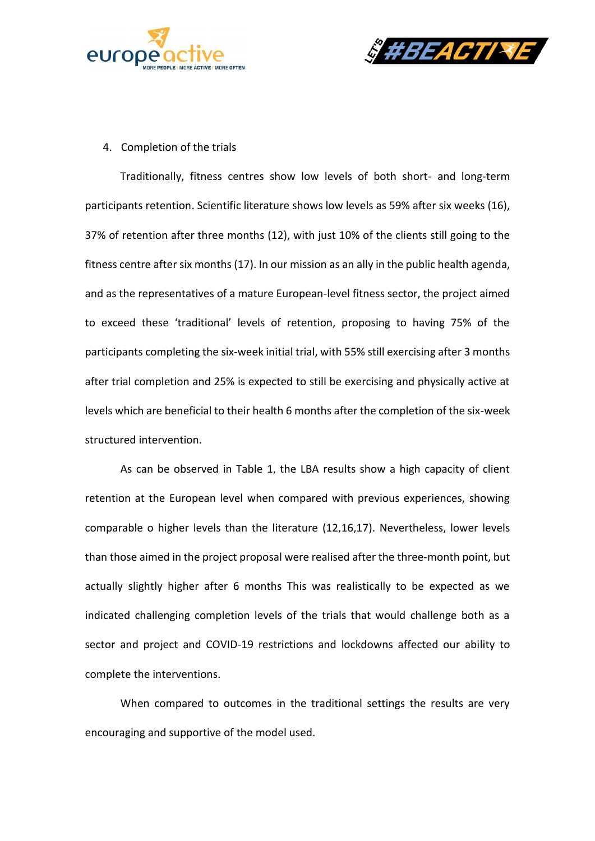



4. Completion of the trials

Traditionally, fitness centres show low levels of both short- and long-term participants retention. Scientific literature shows low levels as 59% after six weeks (16), 37% of retention after three months (12), with just 10% of the clients still going to the fitness centre after six months (17). In our mission as an ally in the public health agenda, and as the representatives of a mature European-level fitness sector, the project aimed to exceed these 'traditional' levels of retention, proposing to having 75% of the participants completing the six-week initial trial, with 55% still exercising after 3 months after trial completion and 25% is expected to still be exercising and physically active at levels which are beneficial to their health 6 months after the completion of the six-week structured intervention.

As can be observed in Table 1, the LBA results show a high capacity of client retention at the European level when compared with previous experiences, showing comparable o higher levels than the literature (12,16,17). Nevertheless, lower levels than those aimed in the project proposal were realised after the three-month point, but actually slightly higher after 6 months This was realistically to be expected as we indicated challenging completion levels of the trials that would challenge both as a sector and project and COVID-19 restrictions and lockdowns affected our ability to complete the interventions.

When compared to outcomes in the traditional settings the results are very encouraging and supportive of the model used.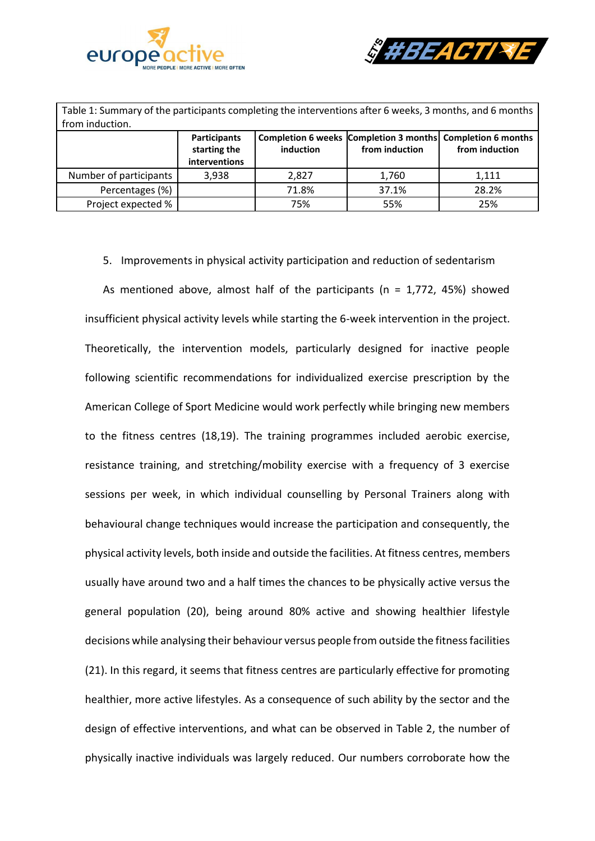



| Table 1: Summary of the participants completing the interventions after 6 weeks, 3 months, and 6 months<br>from induction. |                                                      |           |                |                                                                              |  |  |
|----------------------------------------------------------------------------------------------------------------------------|------------------------------------------------------|-----------|----------------|------------------------------------------------------------------------------|--|--|
|                                                                                                                            | <b>Participants</b><br>starting the<br>interventions | induction | from induction | Completion 6 weeks Completion 3 months Completion 6 months<br>from induction |  |  |
| Number of participants                                                                                                     | 3,938                                                | 2,827     | 1,760          | 1,111                                                                        |  |  |
| Percentages (%)                                                                                                            |                                                      | 71.8%     | 37.1%          | 28.2%                                                                        |  |  |
| Project expected %                                                                                                         |                                                      | 75%       | 55%            | 25%                                                                          |  |  |

5. Improvements in physical activity participation and reduction of sedentarism

As mentioned above, almost half of the participants ( $n = 1.772$ , 45%) showed insufficient physical activity levels while starting the 6-week intervention in the project. Theoretically, the intervention models, particularly designed for inactive people following scientific recommendations for individualized exercise prescription by the American College of Sport Medicine would work perfectly while bringing new members to the fitness centres (18,19). The training programmes included aerobic exercise, resistance training, and stretching/mobility exercise with a frequency of 3 exercise sessions per week, in which individual counselling by Personal Trainers along with behavioural change techniques would increase the participation and consequently, the physical activity levels, both inside and outside the facilities. At fitness centres, members usually have around two and a half times the chances to be physically active versus the general population (20), being around 80% active and showing healthier lifestyle decisions while analysing their behaviour versus people from outside the fitness facilities (21). In this regard, it seems that fitness centres are particularly effective for promoting healthier, more active lifestyles. As a consequence of such ability by the sector and the design of effective interventions, and what can be observed in Table 2, the number of physically inactive individuals was largely reduced. Our numbers corroborate how the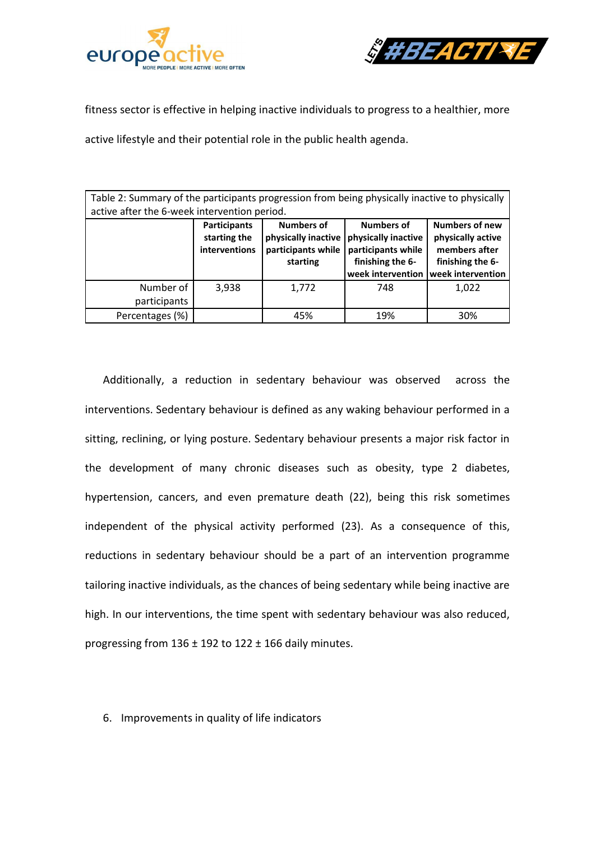



fitness sector is effective in helping inactive individuals to progress to a healthier, more

active lifestyle and their potential role in the public health agenda.

| Table 2: Summary of the participants progression from being physically inactive to physically<br>active after the 6-week intervention period. |                                               |                                                                            |                                                                                                         |                                                                                                      |  |  |
|-----------------------------------------------------------------------------------------------------------------------------------------------|-----------------------------------------------|----------------------------------------------------------------------------|---------------------------------------------------------------------------------------------------------|------------------------------------------------------------------------------------------------------|--|--|
|                                                                                                                                               | Participants<br>starting the<br>interventions | <b>Numbers of</b><br>physically inactive<br>participants while<br>starting | <b>Numbers of</b><br>physically inactive<br>participants while<br>finishing the 6-<br>week intervention | <b>Numbers of new</b><br>physically active<br>members after<br>finishing the 6-<br>week intervention |  |  |
| Number of<br>participants                                                                                                                     | 3.938                                         | 1,772                                                                      | 748                                                                                                     | 1.022                                                                                                |  |  |
| Percentages (%)                                                                                                                               |                                               | 45%                                                                        | 19%                                                                                                     | 30%                                                                                                  |  |  |

Additionally, a reduction in sedentary behaviour was observed across the interventions. Sedentary behaviour is defined as any waking behaviour performed in a sitting, reclining, or lying posture. Sedentary behaviour presents a major risk factor in the development of many chronic diseases such as obesity, type 2 diabetes, hypertension, cancers, and even premature death (22), being this risk sometimes independent of the physical activity performed (23). As a consequence of this, reductions in sedentary behaviour should be a part of an intervention programme tailoring inactive individuals, as the chances of being sedentary while being inactive are high. In our interventions, the time spent with sedentary behaviour was also reduced, progressing from  $136 \pm 192$  to  $122 \pm 166$  daily minutes.

6. Improvements in quality of life indicators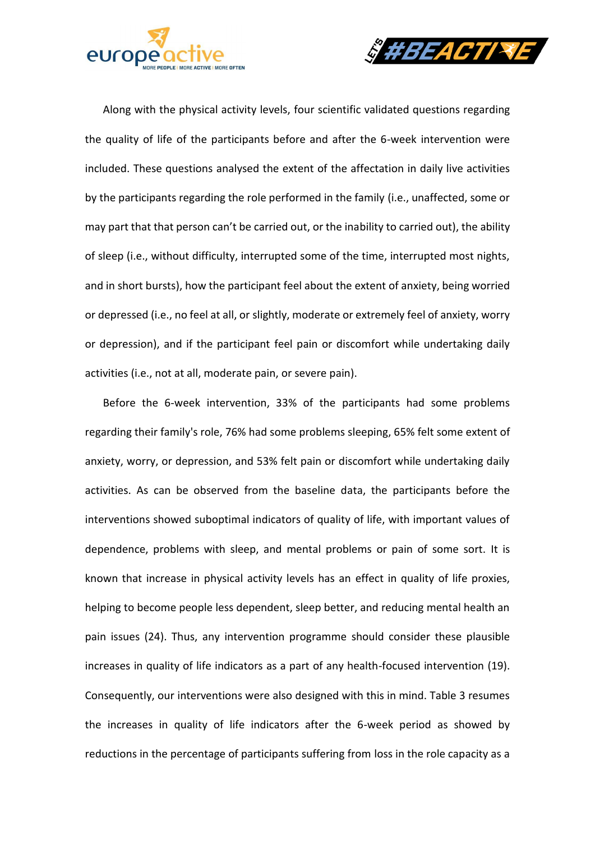



Along with the physical activity levels, four scientific validated questions regarding the quality of life of the participants before and after the 6-week intervention were included. These questions analysed the extent of the affectation in daily live activities by the participants regarding the role performed in the family (i.e., unaffected, some or may part that that person can't be carried out, or the inability to carried out), the ability of sleep (i.e., without difficulty, interrupted some of the time, interrupted most nights, and in short bursts), how the participant feel about the extent of anxiety, being worried or depressed (i.e., no feel at all, or slightly, moderate or extremely feel of anxiety, worry or depression), and if the participant feel pain or discomfort while undertaking daily activities (i.e., not at all, moderate pain, or severe pain).

Before the 6-week intervention, 33% of the participants had some problems regarding their family's role, 76% had some problems sleeping, 65% felt some extent of anxiety, worry, or depression, and 53% felt pain or discomfort while undertaking daily activities. As can be observed from the baseline data, the participants before the interventions showed suboptimal indicators of quality of life, with important values of dependence, problems with sleep, and mental problems or pain of some sort. It is known that increase in physical activity levels has an effect in quality of life proxies, helping to become people less dependent, sleep better, and reducing mental health an pain issues (24). Thus, any intervention programme should consider these plausible increases in quality of life indicators as a part of any health-focused intervention (19). Consequently, our interventions were also designed with this in mind. Table 3 resumes the increases in quality of life indicators after the 6-week period as showed by reductions in the percentage of participants suffering from loss in the role capacity as a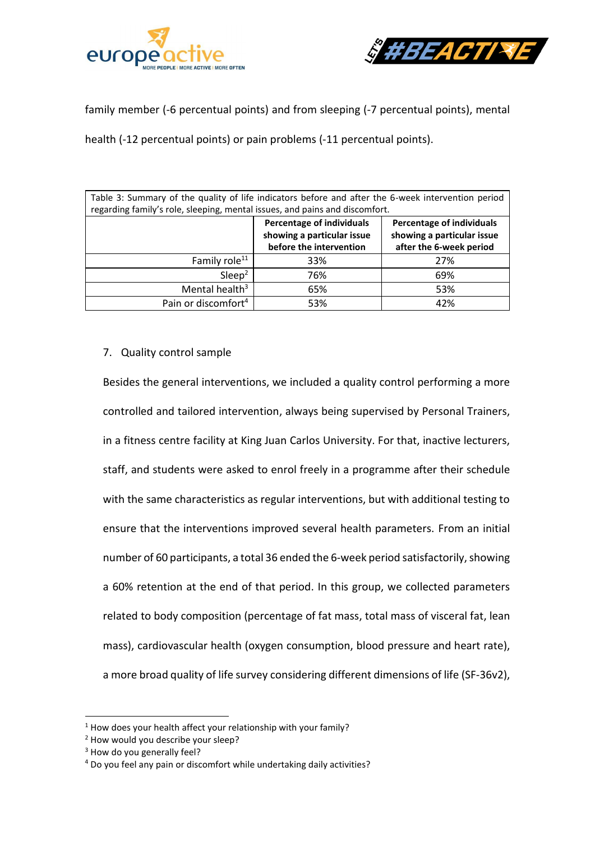



family member (-6 percentual points) and from sleeping (-7 percentual points), mental

health (-12 percentual points) or pain problems (-11 percentual points).

| Table 3: Summary of the quality of life indicators before and after the 6-week intervention period |                                  |                                  |  |  |  |
|----------------------------------------------------------------------------------------------------|----------------------------------|----------------------------------|--|--|--|
| regarding family's role, sleeping, mental issues, and pains and discomfort.                        |                                  |                                  |  |  |  |
|                                                                                                    | <b>Percentage of individuals</b> | <b>Percentage of individuals</b> |  |  |  |
|                                                                                                    | showing a particular issue       | showing a particular issue       |  |  |  |
|                                                                                                    | before the intervention          | after the 6-week period          |  |  |  |
| Family role <sup>11</sup>                                                                          | 33%                              | 27%                              |  |  |  |
| Sleep <sup>2</sup>                                                                                 | 76%                              | 69%                              |  |  |  |
| Mental health <sup>3</sup>                                                                         | 65%                              | 53%                              |  |  |  |
| Pain or discomfort <sup>4</sup>                                                                    | 53%                              | 42%                              |  |  |  |

#### 7. Quality control sample

Besides the general interventions, we included a quality control performing a more controlled and tailored intervention, always being supervised by Personal Trainers, in a fitness centre facility at King Juan Carlos University. For that, inactive lecturers, staff, and students were asked to enrol freely in a programme after their schedule with the same characteristics as regular interventions, but with additional testing to ensure that the interventions improved several health parameters. From an initial number of 60 participants, a total 36 ended the 6-week period satisfactorily, showing a 60% retention at the end of that period. In this group, we collected parameters related to body composition (percentage of fat mass, total mass of visceral fat, lean mass), cardiovascular health (oxygen consumption, blood pressure and heart rate), a more broad quality of life survey considering different dimensions of life (SF-36v2),

<sup>&</sup>lt;sup>1</sup> How does your health affect your relationship with your family?

<sup>&</sup>lt;sup>2</sup> How would you describe your sleep?

<sup>&</sup>lt;sup>3</sup> How do you generally feel?

<sup>4</sup> Do you feel any pain or discomfort while undertaking daily activities?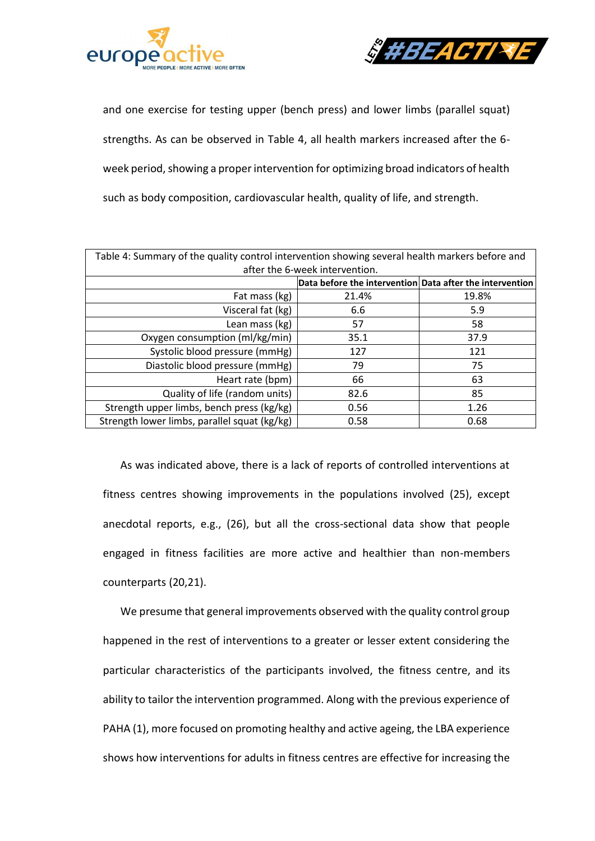



and one exercise for testing upper (bench press) and lower limbs (parallel squat) strengths. As can be observed in Table 4, all health markers increased after the 6 week period, showing a proper intervention for optimizing broad indicators of health such as body composition, cardiovascular health, quality of life, and strength.

| Table 4: Summary of the quality control intervention showing several health markers before and |                                                          |       |  |  |  |
|------------------------------------------------------------------------------------------------|----------------------------------------------------------|-------|--|--|--|
| after the 6-week intervention.                                                                 |                                                          |       |  |  |  |
|                                                                                                | Data before the intervention Data after the intervention |       |  |  |  |
| Fat mass (kg)                                                                                  | 21.4%                                                    | 19.8% |  |  |  |
| Visceral fat (kg)                                                                              | 6.6                                                      | 5.9   |  |  |  |
| Lean mass (kg)                                                                                 | 57                                                       | 58    |  |  |  |
| Oxygen consumption (ml/kg/min)                                                                 | 35.1                                                     | 37.9  |  |  |  |
| Systolic blood pressure (mmHg)                                                                 | 127                                                      | 121   |  |  |  |
| Diastolic blood pressure (mmHg)                                                                | 79                                                       | 75    |  |  |  |
| Heart rate (bpm)                                                                               | 66                                                       | 63    |  |  |  |
| Quality of life (random units)                                                                 | 82.6                                                     | 85    |  |  |  |
| Strength upper limbs, bench press (kg/kg)                                                      | 0.56                                                     | 1.26  |  |  |  |
| Strength lower limbs, parallel squat (kg/kg)                                                   | 0.58                                                     | 0.68  |  |  |  |

As was indicated above, there is a lack of reports of controlled interventions at fitness centres showing improvements in the populations involved (25), except anecdotal reports, e.g., (26), but all the cross-sectional data show that people engaged in fitness facilities are more active and healthier than non-members counterparts (20,21).

We presume that general improvements observed with the quality control group happened in the rest of interventions to a greater or lesser extent considering the particular characteristics of the participants involved, the fitness centre, and its ability to tailor the intervention programmed. Along with the previous experience of PAHA (1), more focused on promoting healthy and active ageing, the LBA experience shows how interventions for adults in fitness centres are effective for increasing the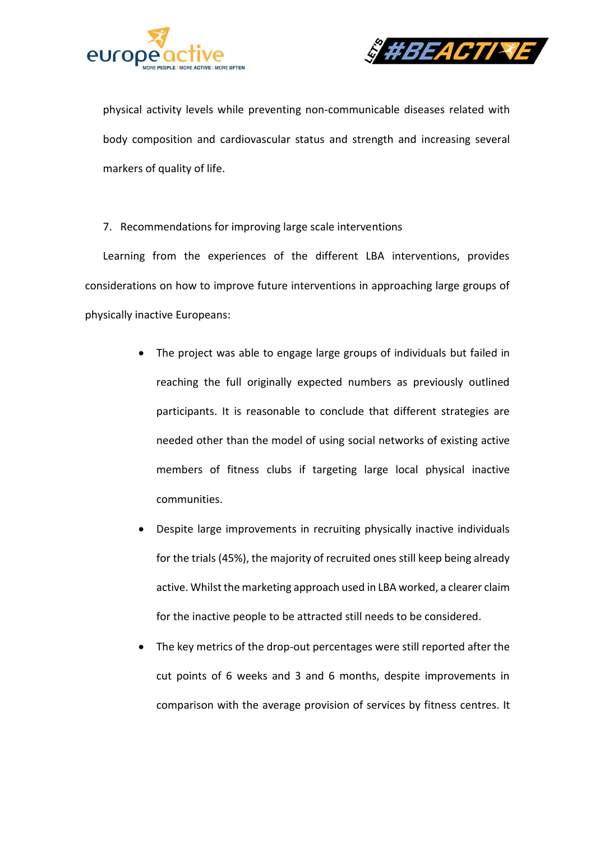



physical activity levels while preventing non-communicable diseases related with body composition and cardiovascular status and strength and increasing several markers of quality of life.

7. Recommendations for improving large scale interventions

Learning from the experiences of the different LBA interventions, provides considerations on how to improve future interventions in approaching large groups of physically inactive Europeans:

- The project was able to engage large groups of individuals but failed in reaching the full originally expected numbers as previously outlined participants. It is reasonable to conclude that different strategies are needed other than the model of using social networks of existing active members of fitness clubs if targeting large local physical inactive communities.
- Despite large improvements in recruiting physically inactive individuals for the trials (45%), the majority of recruited ones still keep being already active. Whilst the marketing approach used in LBA worked, a clearer claim for the inactive people to be attracted still needs to be considered.
- The key metrics of the drop-out percentages were still reported after the cut points of 6 weeks and 3 and 6 months, despite improvements in comparison with the average provision of services by fitness centres. It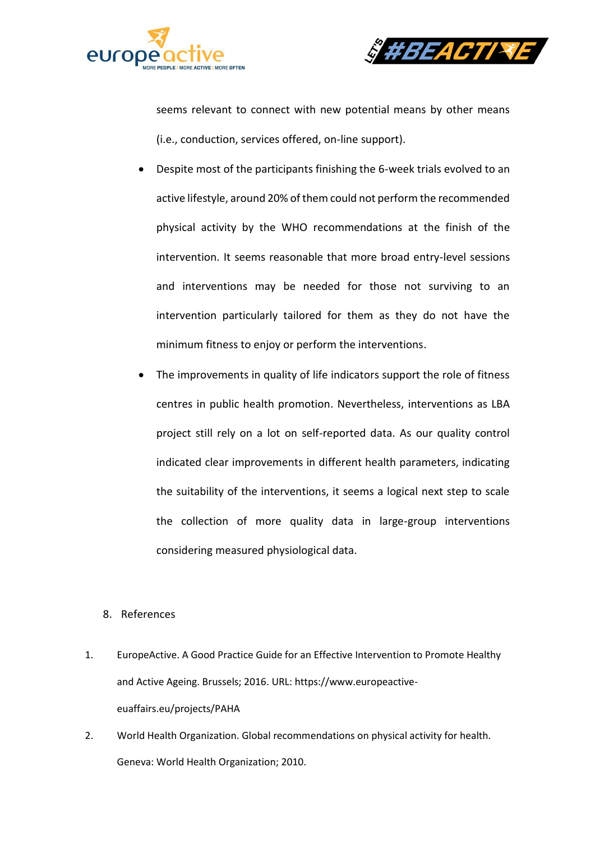



seems relevant to connect with new potential means by other means (i.e., conduction, services offered, on-line support).

- Despite most of the participants finishing the 6-week trials evolved to an active lifestyle, around 20% of them could not perform the recommended physical activity by the WHO recommendations at the finish of the intervention. It seems reasonable that more broad entry-level sessions and interventions may be needed for those not surviving to an intervention particularly tailored for them as they do not have the minimum fitness to enjoy or perform the interventions.
- The improvements in quality of life indicators support the role of fitness centres in public health promotion. Nevertheless, interventions as LBA project still rely on a lot on self-reported data. As our quality control indicated clear improvements in different health parameters, indicating the suitability of the interventions, it seems a logical next step to scale the collection of more quality data in large-group interventions considering measured physiological data.
- 8. References
- 1. EuropeActive. A Good Practice Guide for an Effective Intervention to Promote Healthy and Active Ageing. Brussels; 2016. URL: https://www.europeactiveeuaffairs.eu/projects/PAHA
- 2. World Health Organization. Global recommendations on physical activity for health. Geneva: World Health Organization; 2010.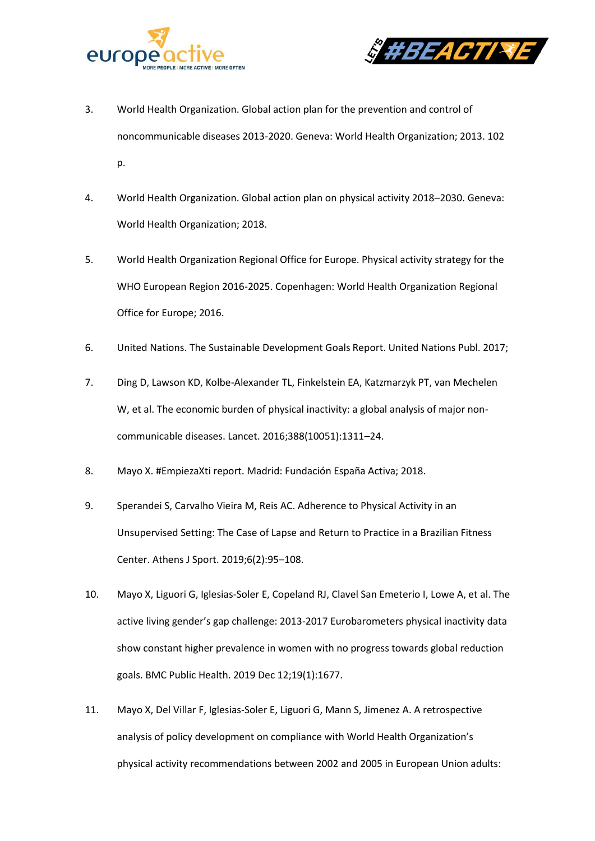



- 3. World Health Organization. Global action plan for the prevention and control of noncommunicable diseases 2013-2020. Geneva: World Health Organization; 2013. 102 p.
- 4. World Health Organization. Global action plan on physical activity 2018–2030. Geneva: World Health Organization; 2018.
- 5. World Health Organization Regional Office for Europe. Physical activity strategy for the WHO European Region 2016-2025. Copenhagen: World Health Organization Regional Office for Europe; 2016.
- 6. United Nations. The Sustainable Development Goals Report. United Nations Publ. 2017;
- 7. Ding D, Lawson KD, Kolbe-Alexander TL, Finkelstein EA, Katzmarzyk PT, van Mechelen W, et al. The economic burden of physical inactivity: a global analysis of major noncommunicable diseases. Lancet. 2016;388(10051):1311–24.
- 8. Mayo X. #EmpiezaXti report. Madrid: Fundación España Activa; 2018.
- 9. Sperandei S, Carvalho Vieira M, Reis AC. Adherence to Physical Activity in an Unsupervised Setting: The Case of Lapse and Return to Practice in a Brazilian Fitness Center. Athens J Sport. 2019;6(2):95–108.
- 10. Mayo X, Liguori G, Iglesias-Soler E, Copeland RJ, Clavel San Emeterio I, Lowe A, et al. The active living gender's gap challenge: 2013-2017 Eurobarometers physical inactivity data show constant higher prevalence in women with no progress towards global reduction goals. BMC Public Health. 2019 Dec 12;19(1):1677.
- 11. Mayo X, Del Villar F, Iglesias-Soler E, Liguori G, Mann S, Jimenez A. A retrospective analysis of policy development on compliance with World Health Organization's physical activity recommendations between 2002 and 2005 in European Union adults: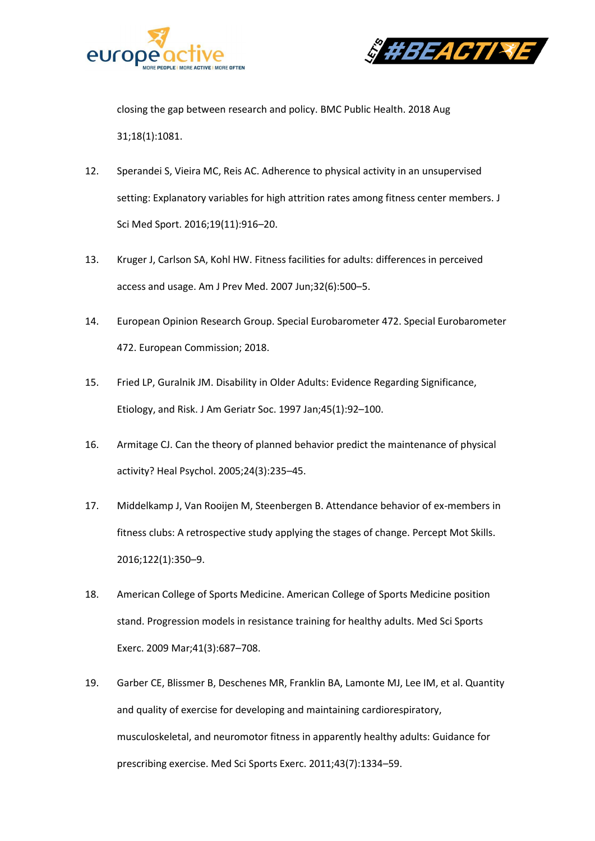



closing the gap between research and policy. BMC Public Health. 2018 Aug 31;18(1):1081.

- 12. Sperandei S, Vieira MC, Reis AC. Adherence to physical activity in an unsupervised setting: Explanatory variables for high attrition rates among fitness center members. J Sci Med Sport. 2016;19(11):916–20.
- 13. Kruger J, Carlson SA, Kohl HW. Fitness facilities for adults: differences in perceived access and usage. Am J Prev Med. 2007 Jun;32(6):500–5.
- 14. European Opinion Research Group. Special Eurobarometer 472. Special Eurobarometer 472. European Commission; 2018.
- 15. Fried LP, Guralnik JM. Disability in Older Adults: Evidence Regarding Significance, Etiology, and Risk. J Am Geriatr Soc. 1997 Jan;45(1):92–100.
- 16. Armitage CJ. Can the theory of planned behavior predict the maintenance of physical activity? Heal Psychol. 2005;24(3):235–45.
- 17. Middelkamp J, Van Rooijen M, Steenbergen B. Attendance behavior of ex-members in fitness clubs: A retrospective study applying the stages of change. Percept Mot Skills. 2016;122(1):350–9.
- 18. American College of Sports Medicine. American College of Sports Medicine position stand. Progression models in resistance training for healthy adults. Med Sci Sports Exerc. 2009 Mar;41(3):687–708.
- 19. Garber CE, Blissmer B, Deschenes MR, Franklin BA, Lamonte MJ, Lee IM, et al. Quantity and quality of exercise for developing and maintaining cardiorespiratory, musculoskeletal, and neuromotor fitness in apparently healthy adults: Guidance for prescribing exercise. Med Sci Sports Exerc. 2011;43(7):1334–59.